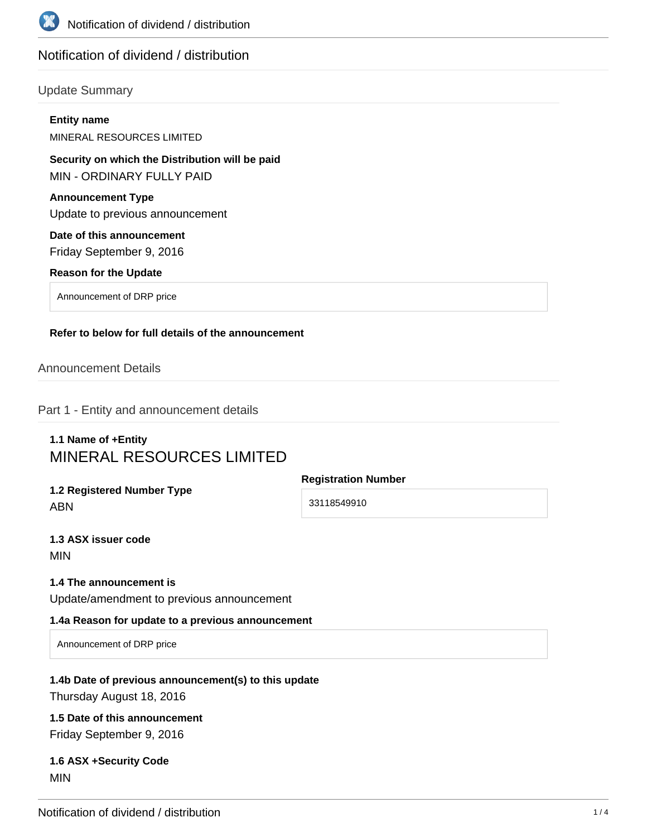

# Notification of dividend / distribution

### Update Summary

|            | <b>Entity name</b><br><b>MINERAL RESOURCES LIMITED</b>                              |                            |
|------------|-------------------------------------------------------------------------------------|----------------------------|
|            | Security on which the Distribution will be paid<br><b>MIN - ORDINARY FULLY PAID</b> |                            |
|            | <b>Announcement Type</b><br>Update to previous announcement                         |                            |
|            | Date of this announcement<br>Friday September 9, 2016                               |                            |
|            | <b>Reason for the Update</b>                                                        |                            |
|            | Announcement of DRP price                                                           |                            |
|            | Refer to below for full details of the announcement<br><b>Announcement Details</b>  |                            |
|            | Part 1 - Entity and announcement details                                            |                            |
|            | 1.1 Name of +Entity<br><b>MINERAL RESOURCES LIMITED</b>                             | <b>Registration Number</b> |
| <b>ABN</b> | 1.2 Registered Number Type                                                          | 33118549910                |
|            | 1.3 ASX issuer code<br><b>MIN</b>                                                   |                            |
|            | 1.4 The announcement is<br>Update/amendment to previous announcement                |                            |
|            | 1.4a Reason for update to a previous announcement                                   |                            |

Announcement of DRP price

# **1.4b Date of previous announcement(s) to this update**

Thursday August 18, 2016

# **1.5 Date of this announcement**

Friday September 9, 2016

### **1.6 ASX +Security Code** MIN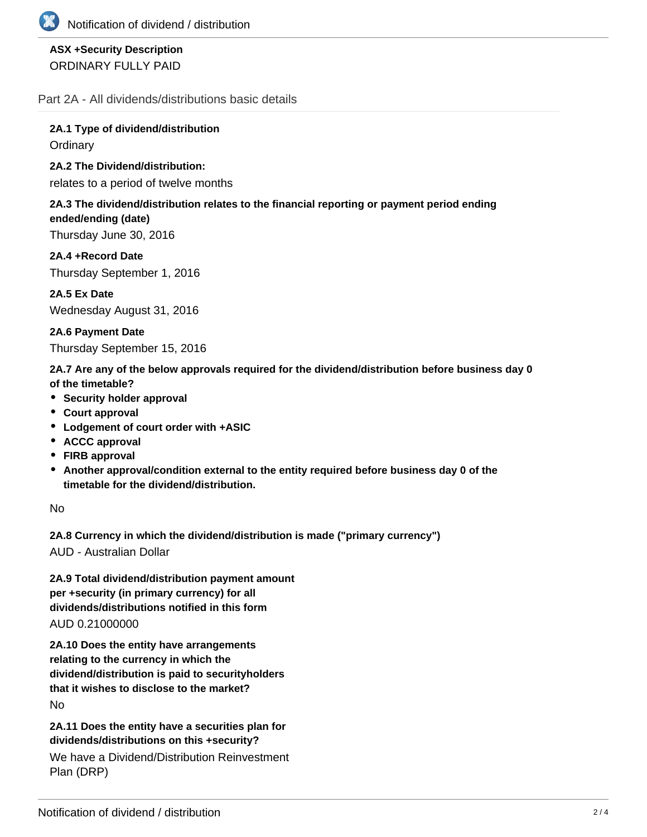

# **ASX +Security Description** ORDINARY FULLY PAID

Part 2A - All dividends/distributions basic details

**2A.1 Type of dividend/distribution Ordinary** 

**2A.2 The Dividend/distribution:**

relates to a period of twelve months

#### **2A.3 The dividend/distribution relates to the financial reporting or payment period ending ended/ending (date)**

Thursday June 30, 2016

**2A.4 +Record Date** Thursday September 1, 2016

**2A.5 Ex Date** Wednesday August 31, 2016

**2A.6 Payment Date** Thursday September 15, 2016

**2A.7 Are any of the below approvals required for the dividend/distribution before business day 0 of the timetable?**

- **•** Security holder approval
- **Court approval**
- **Lodgement of court order with +ASIC**
- **ACCC approval**
- **FIRB approval**
- **Another approval/condition external to the entity required before business day 0 of the timetable for the dividend/distribution.**

No

**2A.8 Currency in which the dividend/distribution is made ("primary currency")**

AUD - Australian Dollar

**2A.9 Total dividend/distribution payment amount per +security (in primary currency) for all dividends/distributions notified in this form** AUD 0.21000000

**2A.10 Does the entity have arrangements relating to the currency in which the dividend/distribution is paid to securityholders that it wishes to disclose to the market?** No

**2A.11 Does the entity have a securities plan for dividends/distributions on this +security?**

We have a Dividend/Distribution Reinvestment Plan (DRP)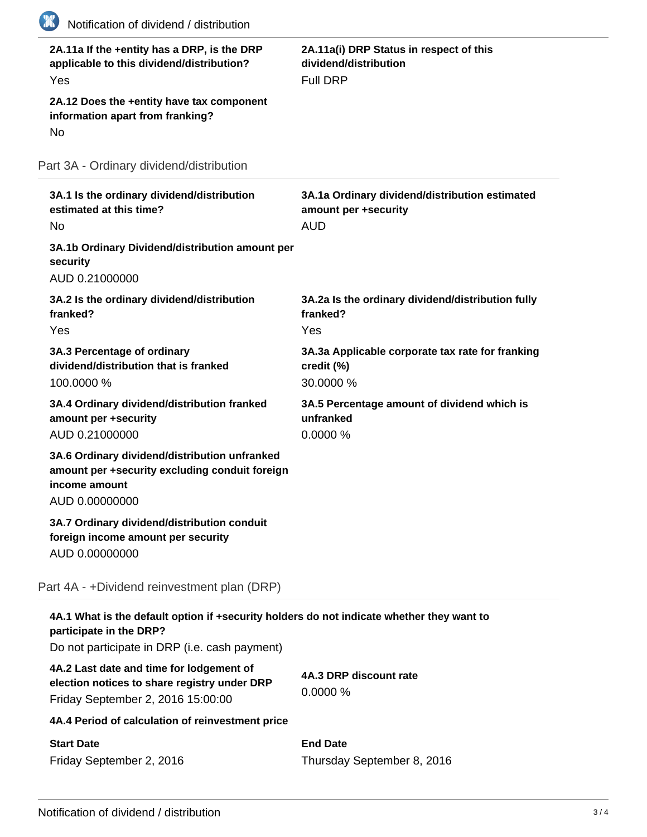| 2A.11a If the +entity has a DRP, is the DRP<br>applicable to this dividend/distribution?<br>Yes                                                                       | 2A.11a(i) DRP Status in respect of this<br>dividend/distribution<br><b>Full DRP</b>  |
|-----------------------------------------------------------------------------------------------------------------------------------------------------------------------|--------------------------------------------------------------------------------------|
| 2A.12 Does the +entity have tax component<br>information apart from franking?<br>No                                                                                   |                                                                                      |
| Part 3A - Ordinary dividend/distribution                                                                                                                              |                                                                                      |
| 3A.1 Is the ordinary dividend/distribution<br>estimated at this time?<br><b>No</b>                                                                                    | 3A.1a Ordinary dividend/distribution estimated<br>amount per +security<br><b>AUD</b> |
| 3A.1b Ordinary Dividend/distribution amount per<br>security<br>AUD 0.21000000                                                                                         |                                                                                      |
| 3A.2 Is the ordinary dividend/distribution<br>franked?<br>Yes                                                                                                         | 3A.2a Is the ordinary dividend/distribution fully<br>franked?<br>Yes                 |
| 3A.3 Percentage of ordinary<br>dividend/distribution that is franked<br>100.0000 %                                                                                    | 3A.3a Applicable corporate tax rate for franking<br>credit (%)<br>30.0000 %          |
| 3A.4 Ordinary dividend/distribution franked<br>amount per +security<br>AUD 0.21000000                                                                                 | 3A.5 Percentage amount of dividend which is<br>unfranked<br>0.0000%                  |
| 3A.6 Ordinary dividend/distribution unfranked<br>amount per +security excluding conduit foreign<br>income amount<br>AUD 0.00000000                                    |                                                                                      |
| 3A.7 Ordinary dividend/distribution conduit<br>foreign income amount per security<br>AUD 0.00000000                                                                   |                                                                                      |
| Part 4A - +Dividend reinvestment plan (DRP)                                                                                                                           |                                                                                      |
| 4A.1 What is the default option if +security holders do not indicate whether they want to<br>participate in the DRP?<br>Do not participate in DRP (i.e. cash payment) |                                                                                      |
| 4A.2 Last date and time for lodgement of<br>election notices to share registry under DRP<br>Friday September 2, 2016 15:00:00                                         | 4A.3 DRP discount rate<br>0.0000%                                                    |
| 4A.4 Period of calculation of reinvestment price                                                                                                                      |                                                                                      |
| <b>Start Date</b><br>Friday September 2, 2016                                                                                                                         | <b>End Date</b><br>Thursday September 8, 2016                                        |